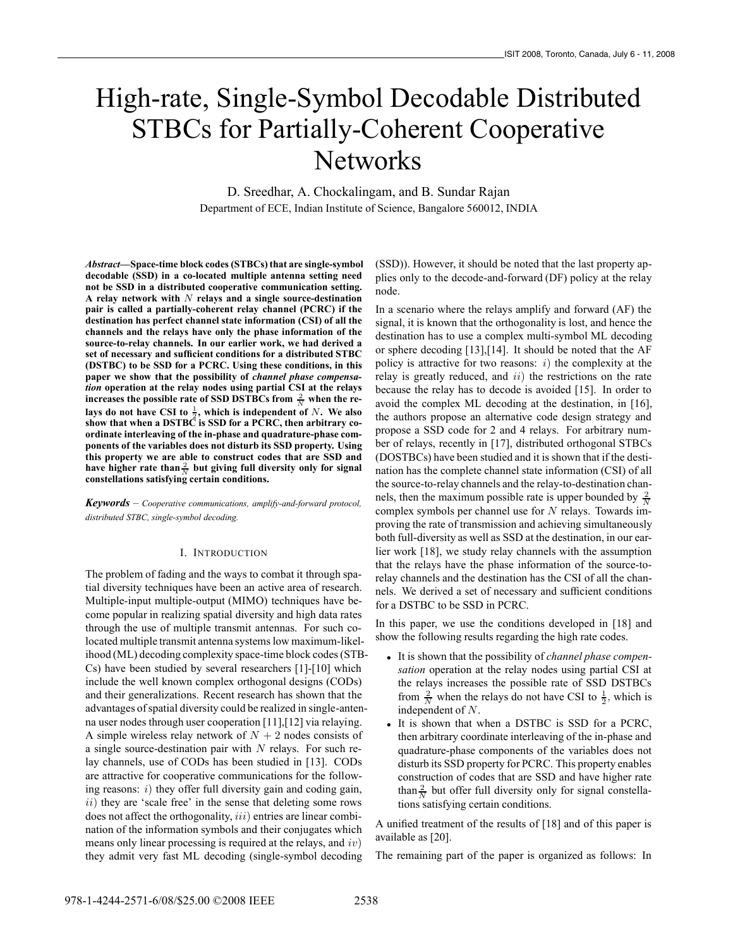# High-rate, Single-Symbol Decodable Distributed STBCs for Partially-Coherent Cooperative **Networks**

D. Sreedhar, A. Chockalingam, and B. Sundar Rajan Department of ECE, Indian Institute of Science, Bangalore 560012, INDIA

*Abstract***—Space-time block codes (STBCs) that are single-symbol decodable (SSD) in a co-located multiple antenna setting need not be SSD in a distributed cooperative communication setting. A relay network with** N **relays and a single source-destination pair is called a partially-coherent relay channel (PCRC) if the destination has perfect channel state information (CSI) of all the channels and the relays have only the phase information of the source-to-relay channels. In our earlier work, we had derived a set of necessary and sufficient conditions for a distributed STBC (DSTBC) to be SSD for a PCRC. Using these conditions, in this paper we show that the possibility of** *channel phase compensation* **operation at the relay nodes using partial CSI at the relays** increases the possible rate of SSD DSTBCs from  $\frac{2}{N}$  when the relays do not have CSI to  $\frac{1}{2}$ , which is independent of N. We also **show that when a DSTBC is SSD for a PCRC, then arbitrary coordinate interleaving of the in-phase and quadrature-phase components of the variables does not disturb its SSD property. Using this property we are able to construct codes that are SSD and** have higher rate than  $\frac{2}{N}$  but giving full diversity only for signal **constellations satisfying certain conditions.**

*Keywords* – *Cooperative communications, amplify-and-forward protocol, distributed STBC, single-symbol decoding.*

## I. INTRODUCTION

The problem of fading and the ways to combat it through spatial diversity techniques have been an active area of research. Multiple-input multiple-output (MIMO) techniques have become popular in realizing spatial diversity and high data rates through the use of multiple transmit antennas. For such colocated multiple transmit antenna systems low maximum-likelihood (ML) decoding complexity space-time block codes (STB-Cs) have been studied by several researchers [1]-[10] which include the well known complex orthogonal designs (CODs) and their generalizations. Recent research has shown that the advantages of spatial diversity could be realized in single-antenna user nodes through user cooperation [11],[12] via relaying. A simple wireless relay network of  $N + 2$  nodes consists of a single source-destination pair with  $N$  relays. For such relay channels, use of CODs has been studied in [13]. CODs are attractive for cooperative communications for the following reasons:  $i)$  they offer full diversity gain and coding gain,  $ii)$  they are 'scale free' in the sense that deleting some rows does not affect the orthogonality,  $iii)$  entries are linear combination of the information symbols and their conjugates which means only linear processing is required at the relays, and  $iv$ ) they admit very fast ML decoding (single-symbol decoding

(SSD)). However, it should be noted that the last property applies only to the decode-and-forward (DF) policy at the relay node.

In a scenario where the relays amplify and forward (AF) the signal, it is known that the orthogonality is lost, and hence the destination has to use a complex multi-symbol ML decoding or sphere decoding [13],[14]. It should be noted that the AF policy is attractive for two reasons:  $i)$  the complexity at the relay is greatly reduced, and  $ii)$  the restrictions on the rate because the relay has to decode is avoided [15]. In order to avoid the complex ML decoding at the destination, in [16], the authors propose an alternative code design strategy and propose a SSD code for 2 and 4 relays. For arbitrary number of relays, recently in [17], distributed orthogonal STBCs (DOSTBCs) have been studied and it is shown that if the destination has the complete channel state information (CSI) of all the source-to-relay channels and the relay-to-destination channels, then the maximum possible rate is upper bounded by  $\frac{2}{N}$ complex symbols per channel use for  $N$  relays. Towards improving the rate of transmission and achieving simultaneously both full-diversity as well as SSD at the destination, in our earlier work [18], we study relay channels with the assumption that the relays have the phase information of the source-torelay channels and the destination has the CSI of all the channels. We derived a set of necessary and sufficient conditions for a DSTBC to be SSD in PCRC.

In this paper, we use the conditions developed in [18] and show the following results regarding the high rate codes.

- It is shown that the possibility of *channel phase compensation* operation at the relay nodes using partial CSI at the relays increases the possible rate of SSD DSTBCs from  $\frac{2}{N}$  when the relays do not have CSI to  $\frac{1}{2}$ , which is independent of N.
- It is shown that when a DSTBC is SSD for a PCRC, then arbitrary coordinate interleaving of the in-phase and quadrature-phase components of the variables does not disturb its SSD property for PCRC. This property enables construction of codes that are SSD and have higher rate than  $\frac{2}{N}$  but offer full diversity only for signal constellations satisfying certain conditions.

A unified treatment of the results of [18] and of this paper is available as [20].

The remaining part of the paper is organized as follows: In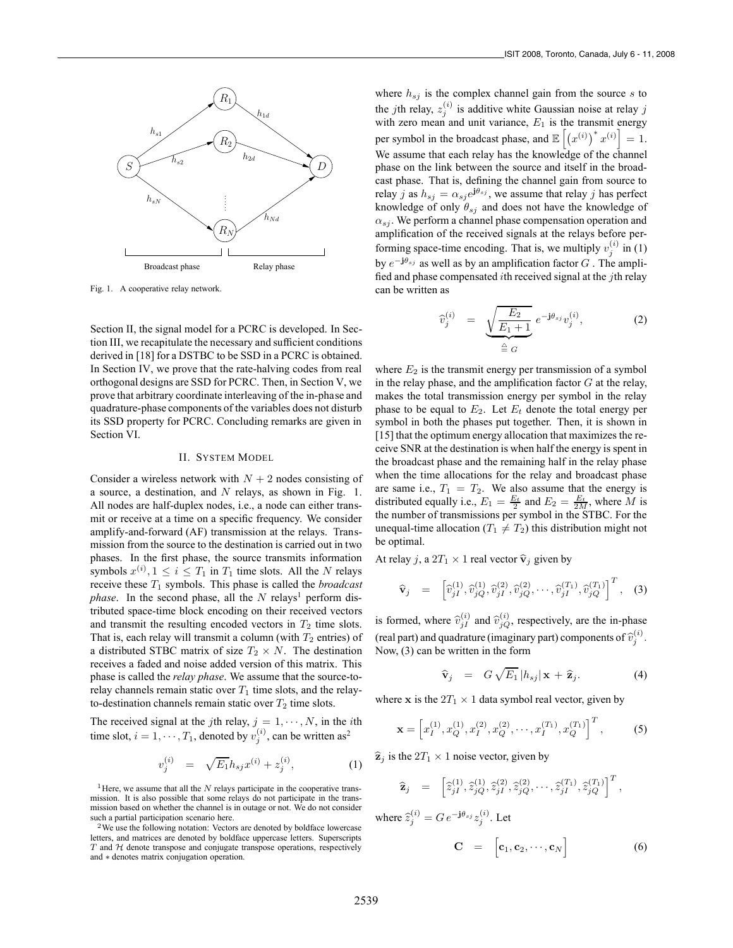

Fig. 1. A cooperative relay network.

Section II, the signal model for a PCRC is developed. In Section III, we recapitulate the necessary and sufficient conditions derived in [18] for a DSTBC to be SSD in a PCRC is obtained. In Section IV, we prove that the rate-halving codes from real orthogonal designs are SSD for PCRC. Then, in Section V, we prove that arbitrary coordinate interleaving of the in-phase and quadrature-phase components of the variables does not disturb its SSD property for PCRC. Concluding remarks are given in Section VI.

## II. SYSTEM MODEL

Consider a wireless network with  $N + 2$  nodes consisting of a source, a destination, and N relays, as shown in Fig. 1. All nodes are half-duplex nodes, i.e., a node can either transmit or receive at a time on a specific frequency. We consider amplify-and-forward (AF) transmission at the relays. Transmission from the source to the destination is carried out in two phases. In the first phase, the source transmits information symbols  $x^{(i)}$ ,  $1 \le i \le T_1$  in  $T_1$  time slots. All the N relays receive these  $T_1$  symbols. This phase is called the *broadcast phase*. In the second phase, all the  $N$  relays<sup>1</sup> perform distributed space-time block encoding on their received vectors and transmit the resulting encoded vectors in  $T_2$  time slots. That is, each relay will transmit a column (with  $T_2$  entries) of a distributed STBC matrix of size  $T_2 \times N$ . The destination receives a faded and noise added version of this matrix. This phase is called the *relay phase*. We assume that the source-torelay channels remain static over  $T_1$  time slots, and the relayto-destination channels remain static over  $T_2$  time slots.

The received signal at the jth relay,  $j = 1, \dots, N$ , in the *i*th time slot,  $i = 1, \dots, T_1$ , denoted by  $v_j^{(i)}$ , can be written as<sup>2</sup>

$$
v_j^{(i)} = \sqrt{E_1} h_{sj} x^{(i)} + z_j^{(i)}, \tag{1}
$$

<sup>1</sup>Here, we assume that all the  $N$  relays participate in the cooperative transmission. It is also possible that some relays do not participate in the transmission based on whether the channel is in outage or not. We do not consider such a partial participation scenario here.

<sup>2</sup>We use the following notation: Vectors are denoted by boldface lowercase letters, and matrices are denoted by boldface uppercase letters. Superscripts  $T$  and  $H$  denote transpose and conjugate transpose operations, respectively and ∗ denotes matrix conjugation operation.

where  $h_{si}$  is the complex channel gain from the source s to the *j*th relay,  $z_j^{(i)}$  is additive white Gaussian noise at relay *j* with zero mean and unit variance,  $E_1$  is the transmit energy per symbol in the broadcast phase, and  $\mathbb{E}\left[\left(x^{(i)}\right)^* x^{(i)}\right]$  $= 1.$ We assume that each relay has the knowledge of the channel phase on the link between the source and itself in the broadcast phase. That is, defining the channel gain from source to relay j as  $h_{sj} = \alpha_{sj} e^{j\theta_{sj}}$ , we assume that relay j has perfect knowledge of only  $\hat{\theta}_{sj}$  and does not have the knowledge of  $\alpha_{s_i}$ . We perform a channel phase compensation operation and amplification of the received signals at the relays before performing space-time encoding. That is, we multiply  $v_i^{(i)}$  in (1) by e−**j**θsj as well as by an amplification factor G . The amplified and phase compensated *i*th received signal at the *j*th relay can be written as

$$
\widehat{v}_j^{(i)} = \underbrace{\sqrt{\frac{E_2}{E_1 + 1}}}_{\triangleq G} e^{-j\theta_{sj}} v_j^{(i)}, \qquad (2)
$$

where  $E_2$  is the transmit energy per transmission of a symbol in the relay phase, and the amplification factor  $G$  at the relay, makes the total transmission energy per symbol in the relay phase to be equal to  $E_2$ . Let  $E_t$  denote the total energy per symbol in both the phases put together. Then, it is shown in [15] that the optimum energy allocation that maximizes the receive SNR at the destination is when half the energy is spent in the broadcast phase and the remaining half in the relay phase when the time allocations for the relay and broadcast phase are same i.e.,  $T_1 = T_2$ . We also assume that the energy is distributed equally i.e.,  $E_1 = \frac{E_t}{2}$  and  $E_2 = \frac{E_t}{2M}$ , where M is the number of transmissions per symbol in the STBC. For the unequal-time allocation ( $T_1 \neq T_2$ ) this distribution might not be optimal.

At relay j, a  $2T_1 \times 1$  real vector  $\hat{v}_j$  given by

$$
\widehat{\mathbf{v}}_{j} = \left[ \widehat{v}_{jI}^{(1)}, \widehat{v}_{jQ}^{(1)}, \widehat{v}_{jI}^{(2)}, \widehat{v}_{jQ}^{(2)}, \cdots, \widehat{v}_{jI}^{(T_1)}, \widehat{v}_{jQ}^{(T_1)} \right]^{T}, \quad (3)
$$

is formed, where  $\hat{v}_{jI}^{(i)}$  and  $\hat{v}_{jQ}^{(i)}$ , respectively, are the in-phase (real part) and quadrature (imaginary part) components of  $\hat{v}_j^{(i)}$ . Now, (3) can be written in the form

$$
\widehat{\mathbf{v}}_j = G \sqrt{E_1} |h_{sj}| \mathbf{x} + \widehat{\mathbf{z}}_j.
$$
 (4)

where **x** is the  $2T_1 \times 1$  data symbol real vector, given by

$$
\mathbf{x} = \left[ x_1^{(1)}, x_2^{(1)}, x_1^{(2)}, x_2^{(2)}, \cdots, x_I^{(T_1)}, x_Q^{(T_1)} \right]^T, \tag{5}
$$

 $\hat{\mathbf{z}}_j$  is the  $2T_1 \times 1$  noise vector, given by

$$
\widehat{\mathbf{z}}_j = \begin{bmatrix} \widehat{z}_{jI}^{(1)}, \widehat{z}_{jQ}^{(1)}, \widehat{z}_{jI}^{(2)}, \widehat{z}_{jQ}^{(2)}, \cdots, \widehat{z}_{jI}^{(T_1)}, \widehat{z}_{jQ}^{(T_1)} \end{bmatrix}^T,
$$

where  $\hat{z}_j^{(i)} = G e^{-\mathbf{j}\theta_{sj}} z_j^{(i)}$ . Let

$$
\mathbf{C} = [\mathbf{c}_1, \mathbf{c}_2, \cdots, \mathbf{c}_N] \tag{6}
$$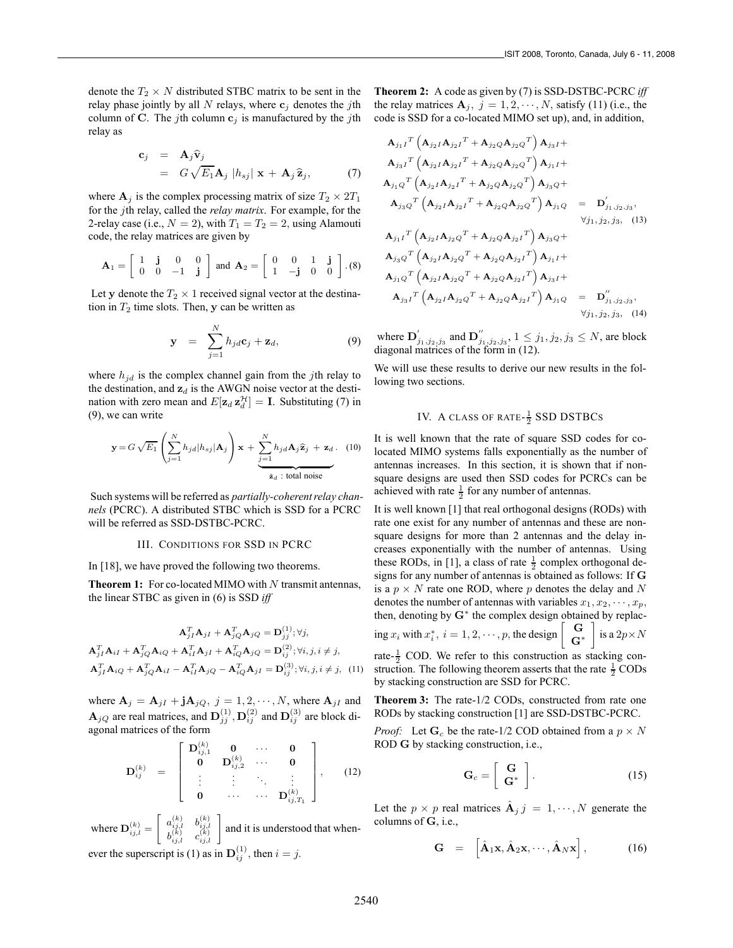denote the  $T_2 \times N$  distributed STBC matrix to be sent in the relay phase jointly by all  $N$  relays, where  $\mathbf{c}_j$  denotes the jth column of **C**. The jth column  $c_j$  is manufactured by the jth relay as

$$
\mathbf{c}_{j} = \mathbf{A}_{j} \hat{\mathbf{v}}_{j} \n= G \sqrt{E_{1}} \mathbf{A}_{j} |h_{sj}| \mathbf{x} + \mathbf{A}_{j} \hat{\mathbf{z}}_{j},
$$
\n(7)

where  $A_j$  is the complex processing matrix of size  $T_2 \times 2T_1$ for the jth relay, called the *relay matrix*. For example, for the 2-relay case (i.e.,  $N = 2$ ), with  $T_1 = T_2 = 2$ , using Alamouti code, the relay matrices are given by

$$
\mathbf{A}_1 = \left[ \begin{array}{ccc} 1 & \mathbf{j} & 0 & 0 \\ 0 & 0 & -1 & \mathbf{j} \end{array} \right] \text{ and } \mathbf{A}_2 = \left[ \begin{array}{ccc} 0 & 0 & 1 & \mathbf{j} \\ 1 & -\mathbf{j} & 0 & 0 \end{array} \right] . (8)
$$

Let y denote the  $T_2 \times 1$  received signal vector at the destination in  $T_2$  time slots. Then, **y** can be written as

$$
\mathbf{y} = \sum_{j=1}^{N} h_{jd} \mathbf{c}_j + \mathbf{z}_d, \tag{9}
$$

where  $h_{jd}$  is the complex channel gain from the jth relay to the destination, and  $z_d$  is the AWGN noise vector at the destination with zero mean and  $E[\mathbf{z}_d \mathbf{z}_d^{\mathcal{H}}] = \mathbf{I}$ . Substituting (7) in (9), we can write

$$
\mathbf{y} = G \sqrt{E_1} \left( \sum_{j=1}^N h_{jd} | h_{sj} | \mathbf{A}_j \right) \mathbf{x} + \underbrace{\sum_{j=1}^N h_{jd} \mathbf{A}_j \hat{\mathbf{z}}_j + \mathbf{z}_d}_{\hat{\mathbf{z}}_d \text{ : total noise}} \quad (10)
$$

Such systems will be referred as *partially-coherent relay channels* (PCRC). A distributed STBC which is SSD for a PCRC will be referred as SSD-DSTBC-PCRC.

## III. CONDITIONS FOR SSD IN PCRC

In [18], we have proved the following two theorems.

**Theorem 1:** For co-located MIMO with N transmit antennas, the linear STBC as given in (6) is SSD *iff*

$$
\mathbf{A}_{jI}^T \mathbf{A}_{jI} + \mathbf{A}_{jQ}^T \mathbf{A}_{jQ} = \mathbf{D}_{jj}^{(1)}; \forall j,
$$
  
\n
$$
\mathbf{A}_{jI}^T \mathbf{A}_{iI} + \mathbf{A}_{jQ}^T \mathbf{A}_{iQ} + \mathbf{A}_{iI}^T \mathbf{A}_{jI} + \mathbf{A}_{iQ}^T \mathbf{A}_{jQ} = \mathbf{D}_{ij}^{(2)}; \forall i, j, i \neq j,
$$
  
\n
$$
\mathbf{A}_{jI}^T \mathbf{A}_{iQ} + \mathbf{A}_{jQ}^T \mathbf{A}_{iI} - \mathbf{A}_{iI}^T \mathbf{A}_{jQ} - \mathbf{A}_{iQ}^T \mathbf{A}_{jI} = \mathbf{D}_{ij}^{(3)}; \forall i, j, i \neq j, \quad (11)
$$

where  $\mathbf{A}_j = \mathbf{A}_{jI} + \mathbf{j} \mathbf{A}_{jQ}, j = 1, 2, \cdots, N$ , where  $\mathbf{A}_{jI}$  and  $\mathbf{A}_{jQ}$  are real matrices, and  $\mathbf{D}_{ij}^{(1)}, \mathbf{D}_{ij}^{(2)}$  and  $\mathbf{D}_{ij}^{(3)}$  are block diagonal matrices of the form

$$
\mathbf{D}_{ij}^{(k)} = \begin{bmatrix} \mathbf{D}_{ij,1}^{(k)} & \mathbf{0} & \cdots & \mathbf{0} \\ \mathbf{0} & \mathbf{D}_{ij,2}^{(k)} & \cdots & \mathbf{0} \\ \vdots & \vdots & \ddots & \vdots \\ \mathbf{0} & \cdots & \cdots & \mathbf{D}_{ij,T_1}^{(k)} \end{bmatrix}, \qquad (12)
$$

where  $\mathbf{D}_{i i, l}^{(k)} =$  $a_{i,i,l}^{(k)}$   $b_{i,i,l}^{(k)}$  $\begin{bmatrix} a_{i,j,l}^{(k)} & b_{i,j,l}^{(k)} \\ b_{i,j,l}^{(k)} & c_{i,j,l}^{(k)} \end{bmatrix}$  and it is understood that whenever the superscript is (1) as in  $\mathbf{D}_{ii}^{(1)}$ , then  $i = j$ .

**Theorem 2:** A code as given by (7) is SSD-DSTBC-PCRC *iff* the relay matrices  $A_j$ ,  $j = 1, 2, \dots, N$ , satisfy (11) (i.e., the code is SSD for a co-located MIMO set up), and, in addition,

$$
A_{j_1I}^T (A_{j_2I}A_{j_2I}^T + A_{j_2Q}A_{j_2Q}^T) A_{j_3I} +
$$
  
\n
$$
A_{j_3I}^T (A_{j_2I}A_{j_2I}^T + A_{j_2Q}A_{j_2Q}^T) A_{j_1I} +
$$
  
\n
$$
A_{j_1Q}^T (A_{j_2I}A_{j_2I}^T + A_{j_2Q}A_{j_2Q}^T) A_{j_3Q} +
$$
  
\n
$$
A_{j_3Q}^T (A_{j_2I}A_{j_2I}^T + A_{j_2Q}A_{j_2Q}^T) A_{j_1Q} = D'_{j_1,j_2,j_3},
$$
  
\n
$$
A_{j_1I}^T (A_{j_2I}A_{j_2Q}^T + A_{j_2Q}A_{j_2I}^T) A_{j_3Q} +
$$
  
\n
$$
A_{j_3Q}^T (A_{j_2I}A_{j_2Q}^T + A_{j_2Q}A_{j_2I}^T) A_{j_1I} +
$$
  
\n
$$
A_{j_1Q}^T (A_{j_2I}A_{j_2Q}^T + A_{j_2Q}A_{j_2I}^T) A_{j_3I} +
$$
  
\n
$$
A_{j_3I}^T (A_{j_2I}A_{j_2Q}^T + A_{j_2Q}A_{j_2I}^T) A_{j_1Q} = D''_{j_1,j_2,j_3},
$$
  
\n
$$
\forall j_1, j_2, j_3, (14)
$$

where  $\mathbf{D}'_{j_1,j_2,j_3}$  and  $\mathbf{D}''_{j_1,j_2,j_3}$ ,  $1 \leq j_1,j_2,j_3 \leq N$ , are block diagonal matrices of the form in (12).

We will use these results to derive our new results in the following two sections.

# IV. A CLASS OF RATE- $\frac{1}{2}$  SSD DSTBCs

It is well known that the rate of square SSD codes for colocated MIMO systems falls exponentially as the number of antennas increases. In this section, it is shown that if nonsquare designs are used then SSD codes for PCRCs can be achieved with rate  $\frac{1}{2}$  for any number of antennas.

It is well known [1] that real orthogonal designs (RODs) with rate one exist for any number of antennas and these are nonsquare designs for more than 2 antennas and the delay increases exponentially with the number of antennas. Using these RODs, in [1], a class of rate  $\frac{1}{2}$  complex orthogonal designs for any number of antennas is obtained as follows: If **G** is a  $p \times N$  rate one ROD, where p denotes the delay and N denotes the number of antennas with variables  $x_1, x_2, \dots, x_p$ , then, denoting by **G**<sup>∗</sup> the complex design obtained by replac-

ing 
$$
x_i
$$
 with  $x_i^*$ ,  $i = 1, 2, \dots, p$ , the design  $\begin{bmatrix} \mathbf{G} \\ \mathbf{G}^* \end{bmatrix}$  is a  $2p \times N$ 

rate- $\frac{1}{2}$  COD. We refer to this construction as stacking construction. The following theorem asserts that the rate  $\frac{1}{2}$  CODs by stacking construction are SSD for PCRC.

**Theorem 3:** The rate-1/2 CODs, constructed from rate one RODs by stacking construction [1] are SSD-DSTBC-PCRC.

*Proof:* Let  $\mathbf{G}_c$  be the rate-1/2 COD obtained from a  $p \times N$ ROD **G** by stacking construction, i.e.,

$$
\mathbf{G}_c = \left[ \begin{array}{c} \mathbf{G} \\ \mathbf{G}^* \end{array} \right]. \tag{15}
$$

Let the  $p \times p$  real matrices  $\hat{A}_j j = 1, \dots, N$  generate the columns of **G**, i.e.,

$$
\mathbf{G} = [\hat{\mathbf{A}}_1 \mathbf{x}, \hat{\mathbf{A}}_2 \mathbf{x}, \cdots, \hat{\mathbf{A}}_N \mathbf{x}], \qquad (16)
$$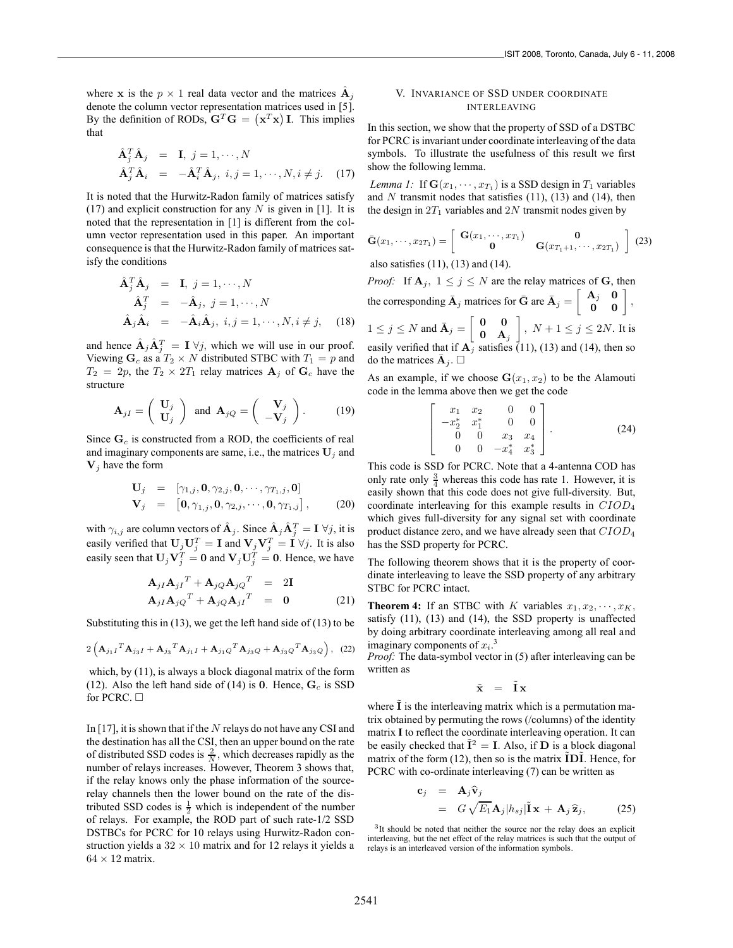where **x** is the  $p \times 1$  real data vector and the matrices  $\mathbf{A}_i$ denote the column vector representation matrices used in [5]. By the definition of RODs,  $\mathbf{G}^T \mathbf{G} = (\mathbf{x}^T \mathbf{x}) \mathbf{I}$ . This implies that

$$
\begin{aligned}\n\hat{\mathbf{A}}_j^T \hat{\mathbf{A}}_j &= \mathbf{I}, \ j = 1, \cdots, N \\
\hat{\mathbf{A}}_j^T \hat{\mathbf{A}}_i &= -\hat{\mathbf{A}}_i^T \hat{\mathbf{A}}_j, \ i, j = 1, \cdots, N, i \neq j.\n\end{aligned} \tag{17}
$$

It is noted that the Hurwitz-Radon family of matrices satisfy (17) and explicit construction for any  $N$  is given in [1]. It is noted that the representation in [1] is different from the column vector representation used in this paper. An important consequence is that the Hurwitz-Radon family of matrices satisfy the conditions

$$
\hat{\mathbf{A}}_j^T \hat{\mathbf{A}}_j = \mathbf{I}, j = 1, \cdots, N
$$
  
\n
$$
\hat{\mathbf{A}}_j^T = -\hat{\mathbf{A}}_j, j = 1, \cdots, N
$$
  
\n
$$
\hat{\mathbf{A}}_j \hat{\mathbf{A}}_i = -\hat{\mathbf{A}}_i \hat{\mathbf{A}}_j, i, j = 1, \cdots, N, i \neq j,
$$
 (18)

and hence  $\hat{\mathbf{A}}_j \hat{\mathbf{A}}_j^T = \mathbf{I} \ \forall j$ , which we will use in our proof. Viewing  $\mathbf{G}_c$  as a  $T_2 \times N$  distributed STBC with  $T_1 = p$  and  $T_2 = 2p$ , the  $T_2 \times 2T_1$  relay matrices  $A_j$  of  $G_c$  have the structure

$$
\mathbf{A}_{jI} = \begin{pmatrix} \mathbf{U}_j \\ \mathbf{U}_j \end{pmatrix} \text{ and } \mathbf{A}_{jQ} = \begin{pmatrix} \mathbf{V}_j \\ -\mathbf{V}_j \end{pmatrix}.
$$
 (19)

Since  $\mathbf{G}_c$  is constructed from a ROD, the coefficients of real and imaginary components are same, i.e., the matrices  $U_j$  and  $V_i$  have the form

$$
\mathbf{U}_{j} = [\gamma_{1,j}, \mathbf{0}, \gamma_{2,j}, \mathbf{0}, \cdots, \gamma_{T_1,j}, \mathbf{0}] \n\mathbf{V}_{j} = [\mathbf{0}, \gamma_{1,j}, \mathbf{0}, \gamma_{2,j}, \cdots, \mathbf{0}, \gamma_{T_1,j}],
$$
\n(20)

with  $\gamma_{i,j}$  are column vectors of  $\hat{\mathbf{A}}_j$ . Since  $\hat{\mathbf{A}}_j \hat{\mathbf{A}}_j^T = \mathbf{I} \ \forall j$ , it is easily verified that  $U_jU_j^T = I$  and  $V_jV_j^T = I \forall j$ . It is also easily seen that  $U_j V_j^T = 0$  and  $V_j U_j^T = 0$ . Hence, we have

$$
\mathbf{A}_{jI}\mathbf{A}_{jI}^T + \mathbf{A}_{jQ}\mathbf{A}_{jQ}^T = 2\mathbf{I}
$$
  
\n
$$
\mathbf{A}_{jI}\mathbf{A}_{jQ}^T + \mathbf{A}_{jQ}\mathbf{A}_{jI}^T = 0
$$
 (21)

Substituting this in  $(13)$ , we get the left hand side of  $(13)$  to be

$$
2\left(\mathbf{A}_{j_1I}{}^T\mathbf{A}_{j_3I} + \mathbf{A}_{j_3}{}^T\mathbf{A}_{j_1I} + \mathbf{A}_{j_1Q}{}^T\mathbf{A}_{j_3Q} + \mathbf{A}_{j_3Q}{}^T\mathbf{A}_{j_3Q}\right), (22)
$$

which, by (11), is always a block diagonal matrix of the form (12). Also the left hand side of (14) is  $0$ . Hence,  $G_c$  is SSD for PCRC.  $\square$ 

In [17], it is shown that if the  $N$  relays do not have any CSI and the destination has all the CSI, then an upper bound on the rate of distributed SSD codes is  $\frac{2}{N}$ , which decreases rapidly as the number of relays increases. However, Theorem 3 shows that, if the relay knows only the phase information of the sourcerelay channels then the lower bound on the rate of the distributed SSD codes is  $\frac{1}{2}$  which is independent of the number of relays. For example, the ROD part of such rate-1/2 SSD DSTBCs for PCRC for 10 relays using Hurwitz-Radon construction yields a  $32 \times 10$  matrix and for 12 relays it yields a  $64 \times 12$  matrix.

## V. INVARIANCE OF SSD UNDER COORDINATE INTERLEAVING

In this section, we show that the property of SSD of a DSTBC for PCRC is invariant under coordinate interleaving of the data symbols. To illustrate the usefulness of this result we first show the following lemma.

*Lemma 1:* If  $\mathbf{G}(x_1, \dots, x_{T_1})$  is a SSD design in  $T_1$  variables and  $N$  transmit nodes that satisfies  $(11)$ ,  $(13)$  and  $(14)$ , then the design in  $2T_1$  variables and  $2N$  transmit nodes given by

$$
\bar{\mathbf{G}}(x_1,\cdots,x_{2T_1})=\left[\begin{array}{cc}\mathbf{G}(x_1,\cdots,x_{T_1})&\mathbf{0}\\\mathbf{0}&\mathbf{G}(x_{T_1+1},\cdots,x_{2T_1})\end{array}\right] (23)
$$

also satisfies (11), (13) and (14).

*Proof:* If  $A_j$ ,  $1 \leq j \leq N$  are the relay matrices of G, then the corresponding  $\bar{\mathbf{A}}_j$  matrices for  $\bar{\mathbf{G}}$  are  $\bar{\mathbf{A}}_j = \begin{bmatrix} \mathbf{A}_j & \mathbf{0} \\ \mathbf{0} & \mathbf{0} \end{bmatrix}$ ,  $1 \leq j \leq N$  and  $\bar{\mathbf{A}}_j = \begin{bmatrix} \mathbf{0} & \mathbf{0} \\ \mathbf{0} & \mathbf{A} \end{bmatrix}$  $\mathbf{0}$  **A**<sub>j</sub>  $\Big]$ ,  $N+1 \leq j \leq 2N$ . It is easily verified that if  $A_j$  satisfies (11), (13) and (14), then so do the matrices  $\bar{\mathbf{A}}_j$ .  $\Box$ 

As an example, if we choose  $\mathbf{G}(x_1, x_2)$  to be the Alamouti code in the lemma above then we get the code

$$
\left[\begin{array}{cccc} x_1 & x_2 & 0 & 0 \\ -x_2^* & x_1^* & 0 & 0 \\ 0 & 0 & x_3 & x_4 \\ 0 & 0 & -x_4^* & x_3^* \end{array}\right].
$$
 (24)

This code is SSD for PCRC. Note that a 4-antenna COD has only rate only  $\frac{3}{4}$  whereas this code has rate 1. However, it is easily shown that this code does not give full-diversity. But, coordinate interleaving for this example results in CIOD<sup>4</sup> which gives full-diversity for any signal set with coordinate product distance zero, and we have already seen that  $CIOD<sub>4</sub>$ has the SSD property for PCRC.

The following theorem shows that it is the property of coordinate interleaving to leave the SSD property of any arbitrary STBC for PCRC intact.

**Theorem 4:** If an STBC with K variables  $x_1, x_2, \dots, x_K$ , satisfy (11), (13) and (14), the SSD property is unaffected by doing arbitrary coordinate interleaving among all real and imaginary components of  $x_i$ <sup>3</sup>

*Proof:* The data-symbol vector in (5) after interleaving can be written as

$$
\tilde{\mathbf{x}} = \tilde{\mathbf{I}} \mathbf{x}
$$

where **I** is the interleaving matrix which is a permutation matrix obtained by permuting the rows (/columns) of the identity matrix **I** to reflect the coordinate interleaving operation. It can be easily checked that  $\tilde{\mathbf{I}}^2 = \mathbf{I}$ . Also, if **D** is a block diagonal matrix of the form (12), then so is the matrix  $\tilde{\mathbf{ID}}\tilde{\mathbf{I}}$ . Hence, for PCRC with co-ordinate interleaving (7) can be written as

$$
\mathbf{c}_{j} = \mathbf{A}_{j} \hat{\mathbf{v}}_{j} \n= G \sqrt{E_{1}} \mathbf{A}_{j} |h_{sj}| \tilde{\mathbf{I}} \mathbf{x} + \mathbf{A}_{j} \hat{\mathbf{z}}_{j},
$$
\n(25)

<sup>&</sup>lt;sup>3</sup>It should be noted that neither the source nor the relay does an explicit interleaving, but the net effect of the relay matrices is such that the output of relays is an interleaved version of the information symbols.